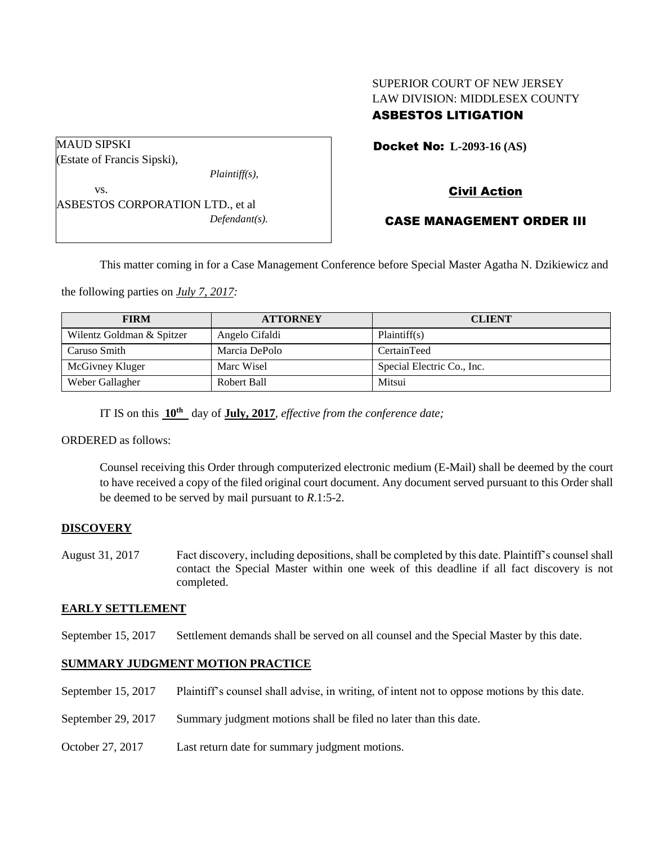# SUPERIOR COURT OF NEW JERSEY LAW DIVISION: MIDDLESEX COUNTY ASBESTOS LITIGATION

Docket No: **L-2093-16 (AS)** 

Civil Action

## CASE MANAGEMENT ORDER III

This matter coming in for a Case Management Conference before Special Master Agatha N. Dzikiewicz and

the following parties on *July 7, 2017:*

| <b>FIRM</b>               | <b>ATTORNEY</b> | <b>CLIENT</b>              |
|---------------------------|-----------------|----------------------------|
| Wilentz Goldman & Spitzer | Angelo Cifaldi  | Plaintiff(s)               |
| Caruso Smith              | Marcia DePolo   | CertainTeed                |
| McGivney Kluger           | Marc Wisel      | Special Electric Co., Inc. |
| Weber Gallagher           | Robert Ball     | Mitsui                     |

IT IS on this **10th** day of **July, 2017**, *effective from the conference date;*

ORDERED as follows:

Counsel receiving this Order through computerized electronic medium (E-Mail) shall be deemed by the court to have received a copy of the filed original court document. Any document served pursuant to this Order shall be deemed to be served by mail pursuant to *R*.1:5-2.

## **DISCOVERY**

August 31, 2017 Fact discovery, including depositions, shall be completed by this date. Plaintiff's counsel shall contact the Special Master within one week of this deadline if all fact discovery is not completed.

### **EARLY SETTLEMENT**

September 15, 2017 Settlement demands shall be served on all counsel and the Special Master by this date.

# **SUMMARY JUDGMENT MOTION PRACTICE**

- September 15, 2017 Plaintiff's counsel shall advise, in writing, of intent not to oppose motions by this date.
- September 29, 2017 Summary judgment motions shall be filed no later than this date.
- October 27, 2017 Last return date for summary judgment motions.

(Estate of Francis Sipski),

ASBESTOS CORPORATION LTD., et al

MAUD SIPSKI

vs.

*Plaintiff(s),*

*Defendant(s).*